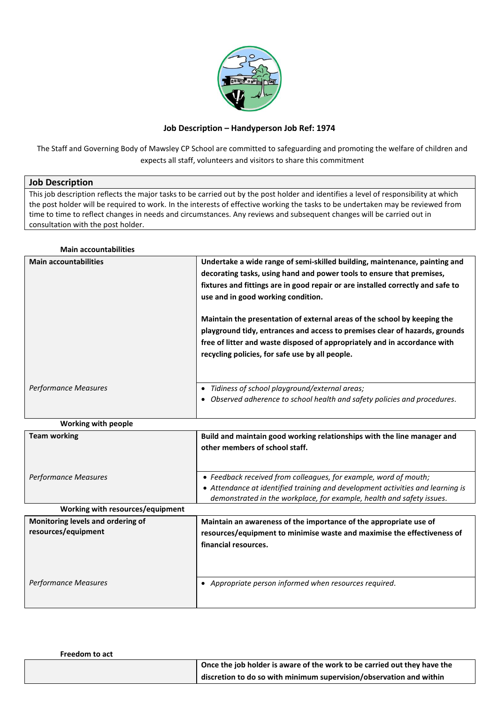

## **Job Description – Handyperson Job Ref: 1974**

The Staff and Governing Body of Mawsley CP School are committed to safeguarding and promoting the welfare of children and expects all staff, volunteers and visitors to share this commitment

## **Job Description**

This job description reflects the major tasks to be carried out by the post holder and identifies a level of responsibility at which the post holder will be required to work. In the interests of effective working the tasks to be undertaken may be reviewed from time to time to reflect changes in needs and circumstances. Any reviews and subsequent changes will be carried out in consultation with the post holder.

## **Main accountabilities**

| <b>Main accountabilities</b> | Undertake a wide range of semi-skilled building, maintenance, painting and<br>decorating tasks, using hand and power tools to ensure that premises,<br>fixtures and fittings are in good repair or are installed correctly and safe to<br>use and in good working condition.<br>Maintain the presentation of external areas of the school by keeping the<br>playground tidy, entrances and access to premises clear of hazards, grounds<br>free of litter and waste disposed of appropriately and in accordance with<br>recycling policies, for safe use by all people. |
|------------------------------|-------------------------------------------------------------------------------------------------------------------------------------------------------------------------------------------------------------------------------------------------------------------------------------------------------------------------------------------------------------------------------------------------------------------------------------------------------------------------------------------------------------------------------------------------------------------------|
| <b>Performance Measures</b>  | Tidiness of school playground/external areas;<br>٠<br>Observed adherence to school health and safety policies and procedures.<br>$\bullet$                                                                                                                                                                                                                                                                                                                                                                                                                              |

| <b>Working with people</b>                               |                                                                                                                                                                                                                             |
|----------------------------------------------------------|-----------------------------------------------------------------------------------------------------------------------------------------------------------------------------------------------------------------------------|
| <b>Team working</b>                                      | Build and maintain good working relationships with the line manager and<br>other members of school staff.                                                                                                                   |
| Performance Measures                                     | • Feedback received from colleagues, for example, word of mouth;<br>• Attendance at identified training and development activities and learning is<br>demonstrated in the workplace, for example, health and safety issues. |
| Working with resources/equipment                         |                                                                                                                                                                                                                             |
| Monitoring levels and ordering of<br>resources/equipment | Maintain an awareness of the importance of the appropriate use of<br>resources/equipment to minimise waste and maximise the effectiveness of<br>financial resources.                                                        |
| Performance Measures                                     | Appropriate person informed when resources required.<br>٠                                                                                                                                                                   |

| <b>Freedom to act</b> |                                                                          |
|-----------------------|--------------------------------------------------------------------------|
|                       | Once the job holder is aware of the work to be carried out they have the |
|                       | discretion to do so with minimum supervision/observation and within      |